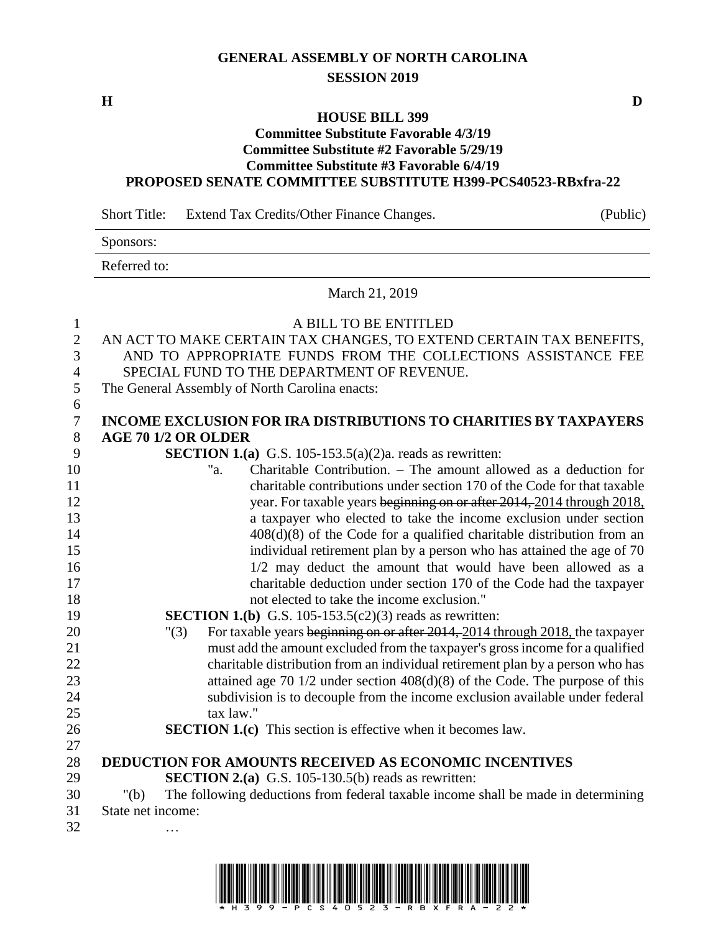## **GENERAL ASSEMBLY OF NORTH CAROLINA SESSION 2019**

**H D**

## **HOUSE BILL 399**

## **Committee Substitute Favorable 4/3/19 Committee Substitute #2 Favorable 5/29/19 Committee Substitute #3 Favorable 6/4/19 PROPOSED SENATE COMMITTEE SUBSTITUTE H399-PCS40523-RBxfra-22**

Short Title: Extend Tax Credits/Other Finance Changes. (Public) Sponsors: Referred to: March 21, 2019 A BILL TO BE ENTITLED AN ACT TO MAKE CERTAIN TAX CHANGES, TO EXTEND CERTAIN TAX BENEFITS, AND TO APPROPRIATE FUNDS FROM THE COLLECTIONS ASSISTANCE FEE SPECIAL FUND TO THE DEPARTMENT OF REVENUE. The General Assembly of North Carolina enacts: **INCOME EXCLUSION FOR IRA DISTRIBUTIONS TO CHARITIES BY TAXPAYERS AGE 70 1/2 OR OLDER SECTION 1.(a)** G.S. 105-153.5(a)(2)a. reads as rewritten: "a. Charitable Contribution. – The amount allowed as a deduction for charitable contributions under section 170 of the Code for that taxable 12 year. For taxable years beginning on or after 2014, 2014 through 2018, a taxpayer who elected to take the income exclusion under section 14 408(d)(8) of the Code for a qualified charitable distribution from an individual retirement plan by a person who has attained the age of 70 16 16 1/2 may deduct the amount that would have been allowed as a charitable deduction under section 170 of the Code had the taxpayer not elected to take the income exclusion." **SECTION 1.(b)** G.S. 105-153.5(c2)(3) reads as rewritten: "(3) For taxable years beginning on or after 2014, 2014 through 2018, the taxpayer must add the amount excluded from the taxpayer's gross income for a qualified charitable distribution from an individual retirement plan by a person who has attained age 70 1/2 under section 408(d)(8) of the Code. The purpose of this subdivision is to decouple from the income exclusion available under federal 25 tax law." **SECTION 1.(c)** This section is effective when it becomes law. **DEDUCTION FOR AMOUNTS RECEIVED AS ECONOMIC INCENTIVES SECTION 2.(a)** G.S. 105-130.5(b) reads as rewritten: "(b) The following deductions from federal taxable income shall be made in determining State net income: …

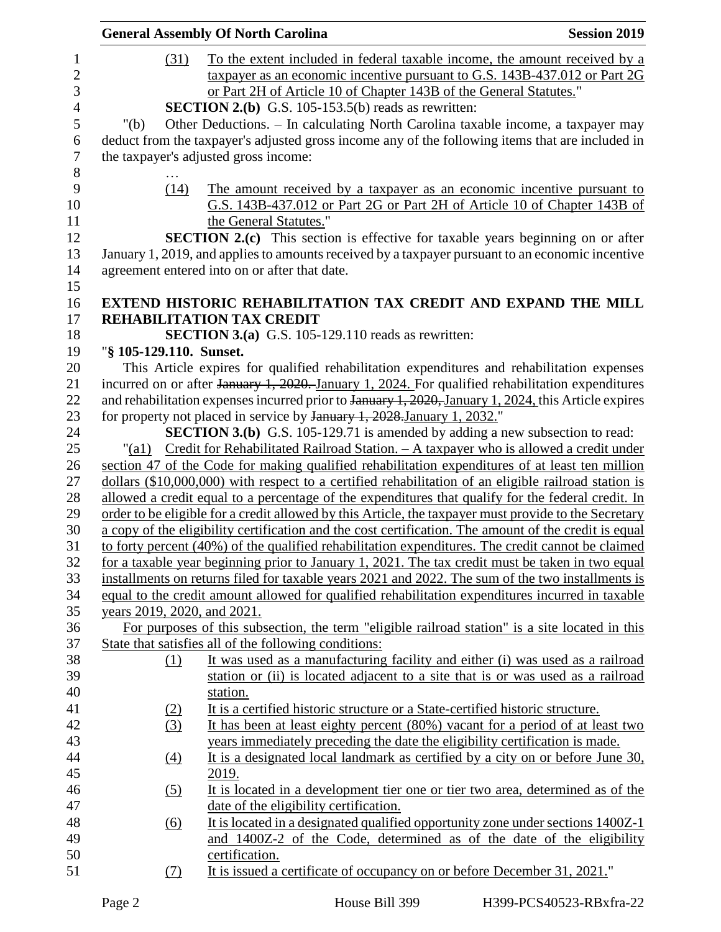|                | <b>General Assembly Of North Carolina</b> |                                       |                                                                                                                                                                | <b>Session 2019</b> |  |  |
|----------------|-------------------------------------------|---------------------------------------|----------------------------------------------------------------------------------------------------------------------------------------------------------------|---------------------|--|--|
| $\mathbf{1}$   |                                           | (31)                                  | To the extent included in federal taxable income, the amount received by a                                                                                     |                     |  |  |
| $\mathbf{2}$   |                                           |                                       | taxpayer as an economic incentive pursuant to G.S. 143B-437.012 or Part 2G                                                                                     |                     |  |  |
| 3              |                                           |                                       | or Part 2H of Article 10 of Chapter 143B of the General Statutes."                                                                                             |                     |  |  |
| $\overline{4}$ |                                           |                                       | <b>SECTION 2.(b)</b> G.S. 105-153.5(b) reads as rewritten:                                                                                                     |                     |  |  |
| 5              | " $(b)$                                   |                                       | Other Deductions. - In calculating North Carolina taxable income, a taxpayer may                                                                               |                     |  |  |
| 6              |                                           |                                       | deduct from the taxpayer's adjusted gross income any of the following items that are included in                                                               |                     |  |  |
| $\tau$         |                                           | the taxpayer's adjusted gross income: |                                                                                                                                                                |                     |  |  |
| 8              |                                           |                                       |                                                                                                                                                                |                     |  |  |
| 9              |                                           | (14)                                  | The amount received by a taxpayer as an economic incentive pursuant to                                                                                         |                     |  |  |
| 10             |                                           |                                       | G.S. 143B-437.012 or Part 2G or Part 2H of Article 10 of Chapter 143B of                                                                                       |                     |  |  |
| 11             |                                           |                                       | the General Statutes."                                                                                                                                         |                     |  |  |
|                |                                           |                                       | <b>SECTION 2.(c)</b> This section is effective for taxable years beginning on or after                                                                         |                     |  |  |
|                |                                           |                                       | January 1, 2019, and applies to amounts received by a taxpayer pursuant to an economic incentive                                                               |                     |  |  |
|                |                                           |                                       | agreement entered into on or after that date.                                                                                                                  |                     |  |  |
|                |                                           |                                       |                                                                                                                                                                |                     |  |  |
|                |                                           |                                       | EXTEND HISTORIC REHABILITATION TAX CREDIT AND EXPAND THE MILL                                                                                                  |                     |  |  |
|                |                                           |                                       | REHABILITATION TAX CREDIT                                                                                                                                      |                     |  |  |
| 18             |                                           |                                       | <b>SECTION 3.(a)</b> G.S. 105-129.110 reads as rewritten:                                                                                                      |                     |  |  |
| 19             | "§ 105-129.110. Sunset.                   |                                       |                                                                                                                                                                |                     |  |  |
| 20             |                                           |                                       | This Article expires for qualified rehabilitation expenditures and rehabilitation expenses                                                                     |                     |  |  |
|                |                                           |                                       | incurred on or after January 1, 2020. January 1, 2024. For qualified rehabilitation expenditures                                                               |                     |  |  |
| 22<br>23       |                                           |                                       | and rehabilitation expenses incurred prior to January 1, 2020, January 1, 2024, this Article expires                                                           |                     |  |  |
|                |                                           |                                       | for property not placed in service by January 1, 2028. January 1, 2032."                                                                                       |                     |  |  |
|                |                                           |                                       | <b>SECTION 3.(b)</b> G.S. 105-129.71 is amended by adding a new subsection to read:                                                                            |                     |  |  |
|                | " $\left( a1\right)$                      |                                       | Credit for Rehabilitated Railroad Station. - A taxpayer who is allowed a credit under                                                                          |                     |  |  |
|                |                                           |                                       | section 47 of the Code for making qualified rehabilitation expenditures of at least ten million                                                                |                     |  |  |
|                |                                           |                                       | dollars (\$10,000,000) with respect to a certified rehabilitation of an eligible railroad station is                                                           |                     |  |  |
|                |                                           |                                       | allowed a credit equal to a percentage of the expenditures that qualify for the federal credit. In                                                             |                     |  |  |
|                |                                           |                                       | order to be eligible for a credit allowed by this Article, the taxpayer must provide to the Secretary                                                          |                     |  |  |
|                |                                           |                                       | a copy of the eligibility certification and the cost certification. The amount of the credit is equal                                                          |                     |  |  |
|                |                                           |                                       | to forty percent (40%) of the qualified rehabilitation expenditures. The credit cannot be claimed                                                              |                     |  |  |
|                |                                           |                                       | for a taxable year beginning prior to January 1, 2021. The tax credit must be taken in two equal                                                               |                     |  |  |
|                |                                           |                                       | installments on returns filed for taxable years 2021 and 2022. The sum of the two installments is                                                              |                     |  |  |
|                |                                           |                                       | equal to the credit amount allowed for qualified rehabilitation expenditures incurred in taxable                                                               |                     |  |  |
|                | years 2019, 2020, and 2021.               |                                       |                                                                                                                                                                |                     |  |  |
|                |                                           |                                       | For purposes of this subsection, the term "eligible railroad station" is a site located in this                                                                |                     |  |  |
|                |                                           |                                       | State that satisfies all of the following conditions:                                                                                                          |                     |  |  |
|                |                                           | (1)                                   | It was used as a manufacturing facility and either (i) was used as a railroad                                                                                  |                     |  |  |
|                |                                           |                                       | station or (ii) is located adjacent to a site that is or was used as a railroad                                                                                |                     |  |  |
|                |                                           |                                       | station.                                                                                                                                                       |                     |  |  |
|                |                                           | (2)<br>(3)                            | It is a certified historic structure or a State-certified historic structure.<br>It has been at least eighty percent (80%) vacant for a period of at least two |                     |  |  |
|                |                                           |                                       | years immediately preceding the date the eligibility certification is made.                                                                                    |                     |  |  |
|                |                                           | (4)                                   | It is a designated local landmark as certified by a city on or before June 30,                                                                                 |                     |  |  |
|                |                                           |                                       | 2019.                                                                                                                                                          |                     |  |  |
|                |                                           |                                       | It is located in a development tier one or tier two area, determined as of the                                                                                 |                     |  |  |
|                |                                           | <u>(5)</u>                            | date of the eligibility certification.                                                                                                                         |                     |  |  |
|                |                                           | $\underline{(6)}$                     | It is located in a designated qualified opportunity zone under sections 1400Z-1                                                                                |                     |  |  |
|                |                                           |                                       | and 1400Z-2 of the Code, determined as of the date of the eligibility                                                                                          |                     |  |  |
|                |                                           |                                       | certification.                                                                                                                                                 |                     |  |  |
|                |                                           | <u>(7)</u>                            | It is issued a certificate of occupancy on or before December 31, 2021."                                                                                       |                     |  |  |
|                |                                           |                                       |                                                                                                                                                                |                     |  |  |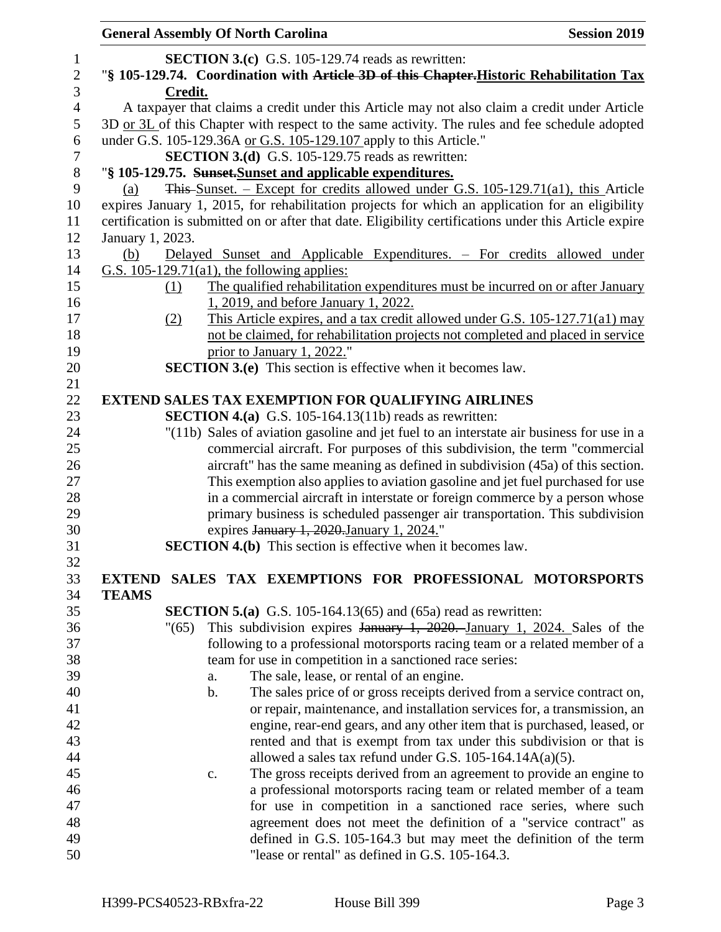|                  | <b>General Assembly Of North Carolina</b>                                                              | <b>Session 2019</b>                                                                                                                            |  |  |  |  |  |
|------------------|--------------------------------------------------------------------------------------------------------|------------------------------------------------------------------------------------------------------------------------------------------------|--|--|--|--|--|
| $\mathbf{1}$     | <b>SECTION 3.(c)</b> G.S. 105-129.74 reads as rewritten:                                               |                                                                                                                                                |  |  |  |  |  |
| $\sqrt{2}$       |                                                                                                        | "§ 105-129.74. Coordination with Article 3D of this Chapter. Historic Rehabilitation Tax                                                       |  |  |  |  |  |
| 3                | Credit.                                                                                                |                                                                                                                                                |  |  |  |  |  |
| $\overline{4}$   | A taxpayer that claims a credit under this Article may not also claim a credit under Article           |                                                                                                                                                |  |  |  |  |  |
| 5                | 3D or 3L of this Chapter with respect to the same activity. The rules and fee schedule adopted         |                                                                                                                                                |  |  |  |  |  |
| 6                | under G.S. 105-129.36A or G.S. 105-129.107 apply to this Article."                                     |                                                                                                                                                |  |  |  |  |  |
| $\boldsymbol{7}$ | <b>SECTION 3.(d)</b> G.S. 105-129.75 reads as rewritten:                                               |                                                                                                                                                |  |  |  |  |  |
| $\,8\,$          | "§ 105-129.75. Sunset-Sunset and applicable expenditures.                                              |                                                                                                                                                |  |  |  |  |  |
| 9                | (a)                                                                                                    | $\frac{2}{100}$ This Sunset. – Except for credits allowed under G.S. 105-129.71(a1), this Article                                              |  |  |  |  |  |
| 10               | expires January 1, 2015, for rehabilitation projects for which an application for an eligibility       |                                                                                                                                                |  |  |  |  |  |
| 11               | certification is submitted on or after that date. Eligibility certifications under this Article expire |                                                                                                                                                |  |  |  |  |  |
| 12               | January 1, 2023.                                                                                       |                                                                                                                                                |  |  |  |  |  |
| 13               | (b)                                                                                                    | Delayed Sunset and Applicable Expenditures. – For credits allowed under                                                                        |  |  |  |  |  |
| 14               | G.S. $105-129.71(a1)$ , the following applies:                                                         |                                                                                                                                                |  |  |  |  |  |
| 15               | (1)                                                                                                    | The qualified rehabilitation expenditures must be incurred on or after January                                                                 |  |  |  |  |  |
| 16               | 1, 2019, and before January 1, 2022.                                                                   |                                                                                                                                                |  |  |  |  |  |
| 17               | (2)                                                                                                    | This Article expires, and a tax credit allowed under G.S. 105-127.71(a1) may                                                                   |  |  |  |  |  |
| 18               |                                                                                                        | not be claimed, for rehabilitation projects not completed and placed in service                                                                |  |  |  |  |  |
| 19               | prior to January 1, 2022."                                                                             |                                                                                                                                                |  |  |  |  |  |
| 20               | <b>SECTION 3.(e)</b> This section is effective when it becomes law.                                    |                                                                                                                                                |  |  |  |  |  |
| 21               |                                                                                                        |                                                                                                                                                |  |  |  |  |  |
| 22               | <b>EXTEND SALES TAX EXEMPTION FOR QUALIFYING AIRLINES</b>                                              |                                                                                                                                                |  |  |  |  |  |
| 23               | <b>SECTION 4.(a)</b> G.S. 105-164.13(11b) reads as rewritten:                                          |                                                                                                                                                |  |  |  |  |  |
| 24               |                                                                                                        | "(11b) Sales of aviation gasoline and jet fuel to an interstate air business for use in a                                                      |  |  |  |  |  |
| 25               |                                                                                                        | commercial aircraft. For purposes of this subdivision, the term "commercial                                                                    |  |  |  |  |  |
| 26               |                                                                                                        | aircraft" has the same meaning as defined in subdivision (45a) of this section.                                                                |  |  |  |  |  |
| 27               |                                                                                                        | This exemption also applies to aviation gasoline and jet fuel purchased for use                                                                |  |  |  |  |  |
| 28               |                                                                                                        | in a commercial aircraft in interstate or foreign commerce by a person whose                                                                   |  |  |  |  |  |
| 29               |                                                                                                        | primary business is scheduled passenger air transportation. This subdivision                                                                   |  |  |  |  |  |
| 30               | expires January 1, 2020. January 1, 2024."                                                             |                                                                                                                                                |  |  |  |  |  |
| 31               | <b>SECTION 4.(b)</b> This section is effective when it becomes law.                                    |                                                                                                                                                |  |  |  |  |  |
| 32               |                                                                                                        |                                                                                                                                                |  |  |  |  |  |
| 33               | EXTEND SALES TAX EXEMPTIONS FOR PROFESSIONAL MOTORSPORTS                                               |                                                                                                                                                |  |  |  |  |  |
| 34               | <b>TEAMS</b>                                                                                           |                                                                                                                                                |  |  |  |  |  |
| 35               | <b>SECTION 5.(a)</b> G.S. 105-164.13(65) and (65a) read as rewritten:                                  |                                                                                                                                                |  |  |  |  |  |
| 36               | "(65)                                                                                                  | This subdivision expires $\frac{1}{2020}$ , $\frac{1}{2020}$ , $\frac{1}{2024}$ , $\frac{1}{2024}$ , $\frac{1}{2024}$ , $\frac{1}{208}$ of the |  |  |  |  |  |
| 37               |                                                                                                        | following to a professional motorsports racing team or a related member of a                                                                   |  |  |  |  |  |
| 38               | team for use in competition in a sanctioned race series:                                               |                                                                                                                                                |  |  |  |  |  |
| 39               | The sale, lease, or rental of an engine.<br>a.                                                         |                                                                                                                                                |  |  |  |  |  |
| 40               | b.                                                                                                     | The sales price of or gross receipts derived from a service contract on,                                                                       |  |  |  |  |  |
| 41               |                                                                                                        | or repair, maintenance, and installation services for, a transmission, an                                                                      |  |  |  |  |  |
| 42               |                                                                                                        | engine, rear-end gears, and any other item that is purchased, leased, or                                                                       |  |  |  |  |  |
| 43               |                                                                                                        | rented and that is exempt from tax under this subdivision or that is                                                                           |  |  |  |  |  |
| 44               |                                                                                                        | allowed a sales tax refund under G.S. $105-164.14A(a)(5)$ .                                                                                    |  |  |  |  |  |
| 45               | c.                                                                                                     | The gross receipts derived from an agreement to provide an engine to                                                                           |  |  |  |  |  |
| 46               |                                                                                                        | a professional motorsports racing team or related member of a team                                                                             |  |  |  |  |  |
| 47               |                                                                                                        | for use in competition in a sanctioned race series, where such                                                                                 |  |  |  |  |  |
| 48               |                                                                                                        | agreement does not meet the definition of a "service contract" as                                                                              |  |  |  |  |  |
| 49               |                                                                                                        | defined in G.S. 105-164.3 but may meet the definition of the term                                                                              |  |  |  |  |  |
| 50               | "lease or rental" as defined in G.S. 105-164.3.                                                        |                                                                                                                                                |  |  |  |  |  |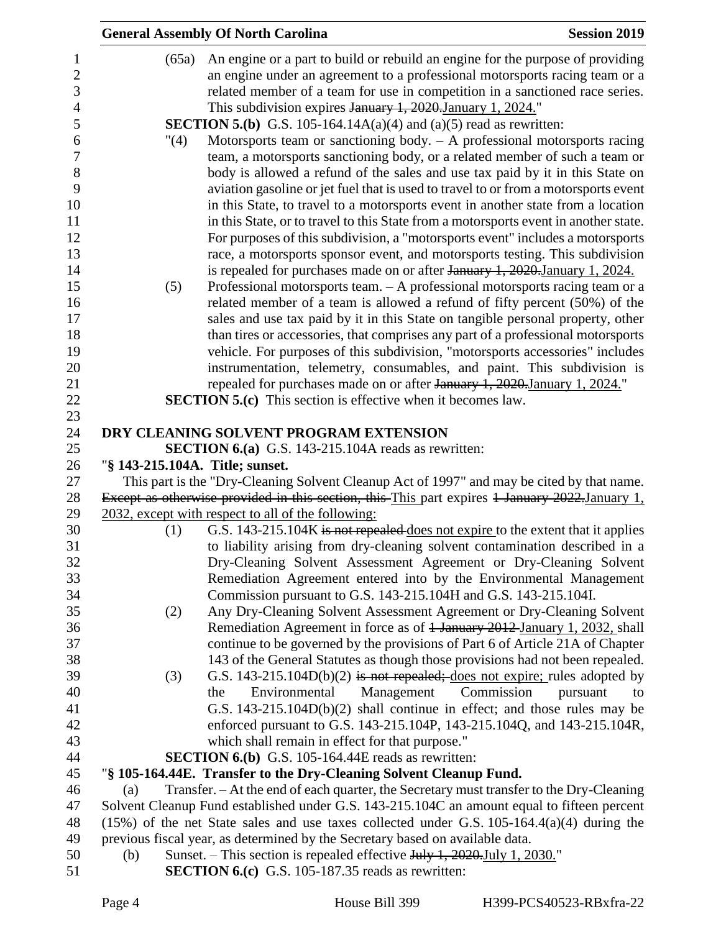|       | <b>General Assembly Of North Carolina</b>                                                                                                                     | <b>Session 2019</b> |
|-------|---------------------------------------------------------------------------------------------------------------------------------------------------------------|---------------------|
| (65a) | An engine or a part to build or rebuild an engine for the purpose of providing                                                                                |                     |
|       | an engine under an agreement to a professional motorsports racing team or a                                                                                   |                     |
|       | related member of a team for use in competition in a sanctioned race series.                                                                                  |                     |
|       | This subdivision expires January 1, 2020. January 1, 2024."                                                                                                   |                     |
|       | <b>SECTION 5.(b)</b> G.S. 105-164.14A(a)(4) and (a)(5) read as rewritten:                                                                                     |                     |
| "(4)  | Motorsports team or sanctioning body. $-$ A professional motorsports racing                                                                                   |                     |
|       | team, a motorsports sanctioning body, or a related member of such a team or                                                                                   |                     |
|       | body is allowed a refund of the sales and use tax paid by it in this State on                                                                                 |                     |
|       | aviation gasoline or jet fuel that is used to travel to or from a motorsports event                                                                           |                     |
|       | in this State, to travel to a motorsports event in another state from a location                                                                              |                     |
|       | in this State, or to travel to this State from a motorsports event in another state.                                                                          |                     |
|       | For purposes of this subdivision, a "motorsports event" includes a motorsports                                                                                |                     |
|       | race, a motorsports sponsor event, and motorsports testing. This subdivision                                                                                  |                     |
|       | is repealed for purchases made on or after January 1, 2020. January 1, 2024.                                                                                  |                     |
| (5)   | Professional motorsports team. $- A$ professional motorsports racing team or a                                                                                |                     |
|       | related member of a team is allowed a refund of fifty percent (50%) of the                                                                                    |                     |
|       | sales and use tax paid by it in this State on tangible personal property, other                                                                               |                     |
|       | than tires or accessories, that comprises any part of a professional motorsports                                                                              |                     |
|       | vehicle. For purposes of this subdivision, "motorsports accessories" includes                                                                                 |                     |
|       | instrumentation, telemetry, consumables, and paint. This subdivision is                                                                                       |                     |
|       | repealed for purchases made on or after January 1, 2020. January 1, 2024."                                                                                    |                     |
|       | <b>SECTION 5.(c)</b> This section is effective when it becomes law.                                                                                           |                     |
|       | DRY CLEANING SOLVENT PROGRAM EXTENSION                                                                                                                        |                     |
|       | <b>SECTION 6.(a)</b> G.S. 143-215.104A reads as rewritten:                                                                                                    |                     |
|       | "§ 143-215.104A. Title; sunset.                                                                                                                               |                     |
|       | This part is the "Dry-Cleaning Solvent Cleanup Act of 1997" and may be cited by that name.                                                                    |                     |
|       | Except as otherwise provided in this section, this This part expires 1 January 2022.January 1,                                                                |                     |
|       | 2032, except with respect to all of the following:                                                                                                            |                     |
| (1)   | G.S. 143-215.104K is not repealed does not expire to the extent that it applies                                                                               |                     |
|       | to liability arising from dry-cleaning solvent contamination described in a                                                                                   |                     |
|       | Dry-Cleaning Solvent Assessment Agreement or Dry-Cleaning Solvent                                                                                             |                     |
|       | Remediation Agreement entered into by the Environmental Management                                                                                            |                     |
|       | Commission pursuant to G.S. 143-215.104H and G.S. 143-215.104I.                                                                                               |                     |
| (2)   | Any Dry-Cleaning Solvent Assessment Agreement or Dry-Cleaning Solvent                                                                                         |                     |
|       | Remediation Agreement in force as of <del>1 January 2012 January 1, 2032,</del> shall                                                                         |                     |
|       | continue to be governed by the provisions of Part 6 of Article 21A of Chapter                                                                                 |                     |
|       | 143 of the General Statutes as though those provisions had not been repealed.                                                                                 |                     |
| (3)   | G.S. 143-215.104D(b)(2) is not repealed; does not expire; rules adopted by                                                                                    |                     |
|       | Management<br>Commission<br>Environmental<br>the                                                                                                              | pursuant<br>to      |
|       | G.S. 143-215.104D(b)(2) shall continue in effect; and those rules may be                                                                                      |                     |
|       | enforced pursuant to G.S. 143-215.104P, 143-215.104Q, and 143-215.104R,                                                                                       |                     |
|       | which shall remain in effect for that purpose."                                                                                                               |                     |
|       | <b>SECTION 6.(b)</b> G.S. 105-164.44E reads as rewritten:                                                                                                     |                     |
| (a)   | "§ 105-164.44E. Transfer to the Dry-Cleaning Solvent Cleanup Fund.<br>Transfer. - At the end of each quarter, the Secretary must transfer to the Dry-Cleaning |                     |
|       | Solvent Cleanup Fund established under G.S. 143-215.104C an amount equal to fifteen percent                                                                   |                     |
|       | $(15%)$ of the net State sales and use taxes collected under G.S. 105-164.4(a)(4) during the                                                                  |                     |
|       | previous fiscal year, as determined by the Secretary based on available data.                                                                                 |                     |
| (b)   | Sunset. – This section is repealed effective $July 1, 2020$ . July 1, 2030."                                                                                  |                     |
|       | <b>SECTION 6.(c)</b> G.S. 105-187.35 reads as rewritten:                                                                                                      |                     |
|       |                                                                                                                                                               |                     |